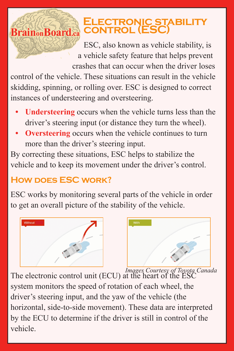## **ELECTRONIC STABILITY**<br>Brainon Board control (ESC)

ESC, also known as vehicle stability, is a vehicle safety feature that helps prevent crashes that can occur when the driver loses

control of the vehicle. These situations can result in the vehicle skidding, spinning, or rolling over. ESC is designed to correct instances of understeering and oversteering.

- **• Understeering** occurs when the vehicle turns less than the driver's steering input (or distance they turn the wheel).
- **Oversteering** occurs when the vehicle continues to turn more than the driver's steering input.

By correcting these situations, ESC helps to stabilize the vehicle and to keep its movement under the driver's control.

## **HOW DOES ESC WORK?**

ESC works by monitoring several parts of the vehicle in order to get an overall picture of the stability of the vehicle.





*Images Courtesy of Toyota Canada* The electronic control unit (ECU) at the heart of the ESC system monitors the speed of rotation of each wheel, the driver's steering input, and the yaw of the vehicle (the horizontal, side-to-side movement). These data are interpreted by the ECU to determine if the driver is still in control of the vehicle.